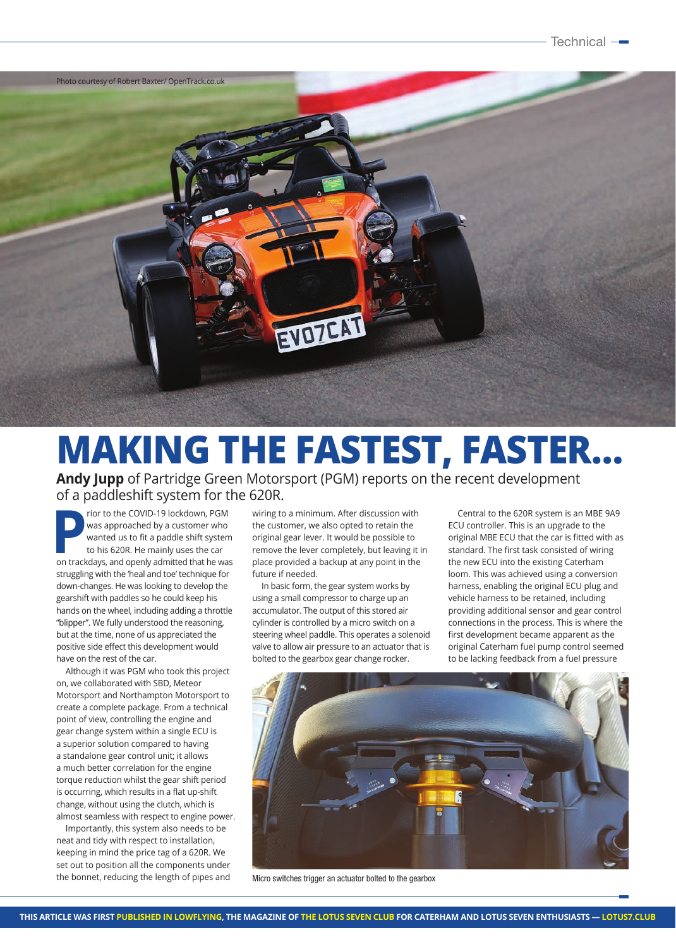

## **MAKING THE FASTEST, FASTER…**

**Andy Jupp** of Partridge Green Motorsport (PGM) reports on the recent development of a paddleshift system for the 620R.

**Property of the COVID-19 lockdown, PGM**<br>was approached by a customer who<br>wanted us to fit a paddle shift system<br>to his 620R. He mainly uses the car<br>on trackdays, and openly admitted that he was was approached by a customer who wanted us to fit a paddle shift system to his 620R. He mainly uses the car on trackdays, and openly admitted that he was struggling with the 'heal and toe' technique for down-changes. He was looking to develop the gearshift with paddles so he could keep his hands on the wheel, including adding a throttle "blipper". We fully understood the reasoning, but at the time, none of us appreciated the positive side effect this development would have on the rest of the car.

Although it was PGM who took this project on, we collaborated with SBD, Meteor Motorsport and Northampton Motorsport to create a complete package. From a technical point of view, controlling the engine and gear change system within a single ECU is a superior solution compared to having a standalone gear control unit; it allows a much better correlation for the engine torque reduction whilst the gear shift period is occurring, which results in a flat up-shift change, without using the clutch, which is almost seamless with respect to engine power.

Importantly, this system also needs to be neat and tidy with respect to installation, keeping in mind the price tag of a 620R. We set out to position all the components under the bonnet, reducing the length of pipes and wiring to a minimum. After discussion with the customer, we also opted to retain the original gear lever. It would be possible to remove the lever completely, but leaving it in place provided a backup at any point in the future if needed.

In basic form, the gear system works by using a small compressor to charge up an accumulator. The output of this stored air cylinder is controlled by a micro switch on a steering wheel paddle. This operates a solenoid valve to allow air pressure to an actuator that is bolted to the gearbox gear change rocker.

Central to the 620R system is an MBE 9A9 ECU controller. This is an upgrade to the original MBE ECU that the car is fitted with as standard. The first task consisted of wiring the new ECU into the existing Caterham loom. This was achieved using a conversion harness, enabling the original ECU plug and vehicle harness to be retained, including providing additional sensor and gear control connections in the process. This is where the first development became apparent as the original Caterham fuel pump control seemed to be lacking feedback from a fuel pressure



Micro switches trigger an actuator bolted to the gearbox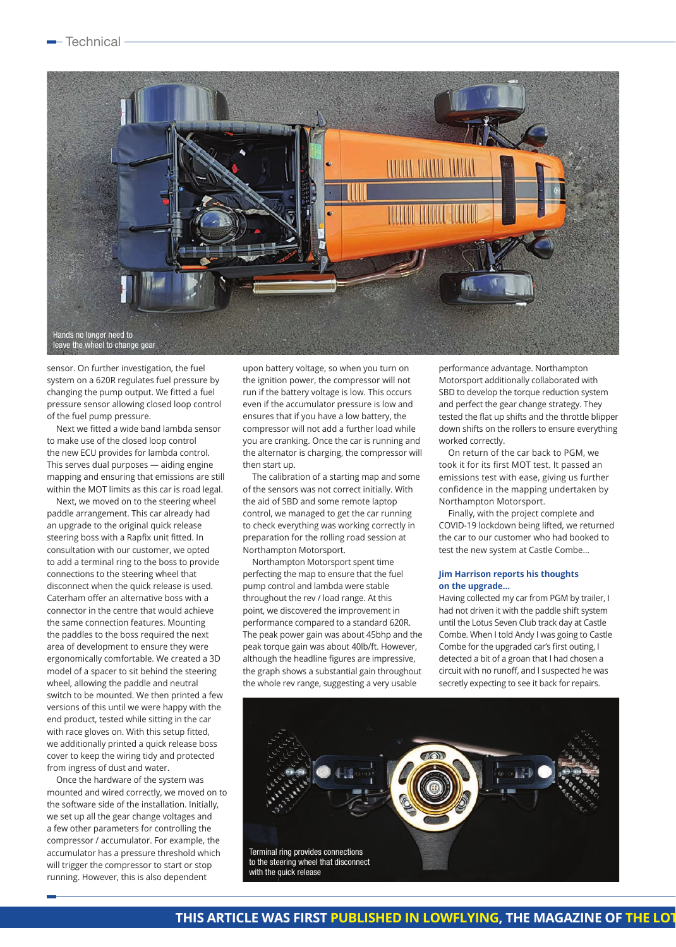

sensor. On further investigation, the fuel system on a 620R regulates fuel pressure by changing the pump output. We fitted a fuel pressure sensor allowing closed loop control of the fuel pump pressure.

Next we fitted a wide band lambda sensor to make use of the closed loop control the new ECU provides for lambda control. This serves dual purposes — aiding engine mapping and ensuring that emissions are still within the MOT limits as this car is road legal.

Next, we moved on to the steering wheel paddle arrangement. This car already had an upgrade to the original quick release steering boss with a Rapfix unit fitted. In consultation with our customer, we opted to add a terminal ring to the boss to provide connections to the steering wheel that disconnect when the quick release is used. Caterham offer an alternative boss with a connector in the centre that would achieve the same connection features. Mounting the paddles to the boss required the next area of development to ensure they were ergonomically comfortable. We created a 3D model of a spacer to sit behind the steering wheel, allowing the paddle and neutral switch to be mounted. We then printed a few versions of this until we were happy with the end product, tested while sitting in the car with race gloves on. With this setup fitted, we additionally printed a quick release boss cover to keep the wiring tidy and protected from ingress of dust and water.

Once the hardware of the system was mounted and wired correctly, we moved on to the software side of the installation. Initially, we set up all the gear change voltages and a few other parameters for controlling the compressor / accumulator. For example, the accumulator has a pressure threshold which will trigger the compressor to start or stop running. However, this is also dependent

upon battery voltage, so when you turn on the ignition power, the compressor will not run if the battery voltage is low. This occurs even if the accumulator pressure is low and ensures that if you have a low battery, the compressor will not add a further load while you are cranking. Once the car is running and the alternator is charging, the compressor will then start up.

The calibration of a starting map and some of the sensors was not correct initially. With the aid of SBD and some remote laptop control, we managed to get the car running to check everything was working correctly in preparation for the rolling road session at Northampton Motorsport.

Northampton Motorsport spent time perfecting the map to ensure that the fuel pump control and lambda were stable throughout the rev / load range. At this point, we discovered the improvement in performance compared to a standard 620R. The peak power gain was about 45bhp and the peak torque gain was about 40lb/ft. However, although the headline figures are impressive, the graph shows a substantial gain throughout the whole rev range, suggesting a very usable

performance advantage. Northampton Motorsport additionally collaborated with SBD to develop the torque reduction system and perfect the gear change strategy. They tested the flat up shifts and the throttle blipper down shifts on the rollers to ensure everything worked correctly.

On return of the car back to PGM, we took it for its first MOT test. It passed an emissions test with ease, giving us further confidence in the mapping undertaken by Northampton Motorsport.

Finally, with the project complete and COVID-19 lockdown being lifted, we returned the car to our customer who had booked to test the new system at Castle Combe…

## **Jim Harrison reports his thoughts on the upgrade…**

Having collected my car from PGM by trailer, I had not driven it with the paddle shift system until the Lotus Seven Club track day at Castle Combe. When I told Andy I was going to Castle Combe for the upgraded car's first outing, I detected a bit of a groan that I had chosen a circuit with no runoff, and I suspected he was secretly expecting to see it back for repairs.